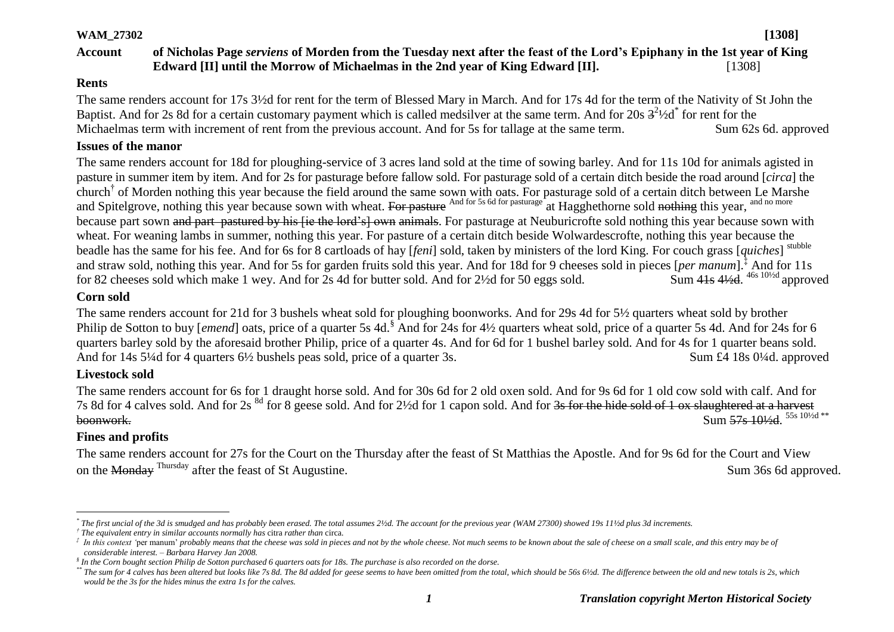#### **WAM\_27302 [1308]**

# **Account of Nicholas Page** *serviens* **of Morden from the Tuesday next after the feast of the Lord's Epiphany in the 1st year of King Edward [II] until the Morrow of Michaelmas in the 2nd year of King Edward [II].** [1308]

#### **Rents**

The same renders account for 17s 3½d for rent for the term of Blessed Mary in March. And for 17s 4d for the term of the Nativity of St John the Baptist. And for 2s 8d for a certain customary payment which is called medsilver at the same term. And for 20s  $3^2$ 1/2d\* for rent for the Michaelmas term with increment of rent from the previous account. And for 5s for tallage at the same term. Sum 62s 6d. approved

#### **Issues of the manor**

The same renders account for 18d for ploughing-service of 3 acres land sold at the time of sowing barley. And for 11s 10d for animals agisted in pasture in summer item by item. And for 2s for pasturage before fallow sold. For pasturage sold of a certain ditch beside the road around [*circa*] the church<sup>†</sup> of Morden nothing this year because the field around the same sown with oats. For pasturage sold of a certain ditch between Le Marshe and Spitelgrove, nothing this year because sown with wheat. For pasture And for 5s 6d for pasturage at Hagghethorne sold nothing this year, and no more because part sown and part pastured by his lie the lord's] own animals. For pasturage at Neuburicrofte sold nothing this year because sown with wheat. For weaning lambs in summer, nothing this year. For pasture of a certain ditch beside Wolwardescrofte, nothing this year because the beadle has the same for his fee. And for 6s for 8 cartloads of hay [*feni*] sold, taken by ministers of the lord King. For couch grass [*quiches*] stubble and straw sold, nothing this year. And for 5s for garden fruits sold this year. And for 18d for 9 cheeses sold in pieces [*per manum*].‡ And for 11s for 82 cheeses sold which make 1 wey. And for  $2s$  4d for butter sold. And for  $2\frac{1}{2}d$  for 50 eggs sold.  $\frac{4}{4}$ s 4½d. <sup>46s 10½d</sup> approved

#### **Corn sold**

The same renders account for 21d for 3 bushels wheat sold for ploughing boonworks. And for 29s 4d for 5½ quarters wheat sold by brother Philip de Sotton to buy *[emend]* oats, price of a quarter 5s 4d.<sup>§</sup> And for 24s for 4½ quarters wheat sold, price of a quarter 5s 4d. And for 24s for 6 quarters barley sold by the aforesaid brother Philip, price of a quarter 4s. And for 6d for 1 bushel barley sold. And for 4s for 1 quarter beans sold. And for 14s 5<sup>1</sup>/4d for 4 quarters 6<sup>1/2</sup> bushels peas sold, price of a quarter 3s. Sum £4 18s 0<sup>1</sup>/4d. approved

# **Livestock sold**

The same renders account for 6s for 1 draught horse sold. And for 30s 6d for 2 old oxen sold. And for 9s 6d for 1 old cow sold with calf. And for 7s 8d for 4 calves sold. And for 2s <sup>8d</sup> for 8 geese sold. And for 2½d for 1 capon sold. And for <del>3s for the hide sold of 1 ox slaughtered at a harvest</del> **boonwork.** Sum 57s 10<sup>1/2</sup>d. <sup>55s 101/2d \*\*</sup>

# **Fines and profits**

The same renders account for 27s for the Court on the Thursday after the feast of St Matthias the Apostle. And for 9s 6d for the Court and View on the Monday <sup>Thursday</sup> after the feast of St Augustine. Sum 36s 6d approved.

 $\overline{a}$ *\* The first uncial of the 3d is smudged and has probably been erased. The total assumes 2½d. The account for the previous year (WAM 27300) showed 19s 11½d plus 3d increments.*

*<sup>†</sup> The equivalent entry in similar accounts normally has* citra *rather than* circa*.*

 $^t$  In this context 'per manum' probably means that the cheese was sold in pieces and not by the whole cheese. Not much seems to be known about the sale of cheese on a small scale, and this entry may be of *considerable interest. – Barbara Harvey Jan 2008.*

*<sup>§</sup> In the Corn bought section Philip de Sotton purchased 6 quarters oats for 18s. The purchase is also recorded on the dorse.* 

<sup>\*\*</sup> The sum for 4 calves has been altered but looks like 7s 8d. The 8d added for geese seems to have been omitted from the total, which should be 56s 6½d. The difference between the old and new totals is 2s, which *would be the 3s for the hides minus the extra 1s for the calves.*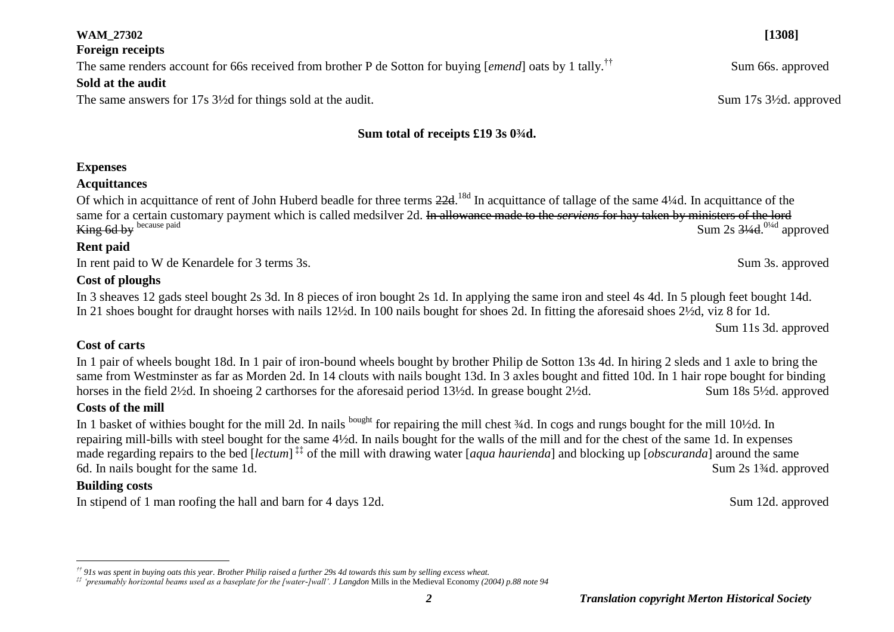#### *2 Translation copyright Merton Historical Society*

#### *†† 91s was spent in buying oats this year. Brother Philip raised a further 29s 4d towards this sum by selling excess wheat.*

# **Expenses**

# **Acquittances**

**Foreign receipts**

**Sold at the audit**

Of which in acquittance of rent of John Huberd beadle for three terms 22d.<sup>18d</sup> In acquittance of tallage of the same 4¼d. In acquittance of the same for a certain customary payment which is called medsilver 2d. In allowance made to the *serviens* for hay taken by ministers of the lord King 6d by because paid Sum 2s  $3\frac{4}{4}$ ,  $0\frac{1}{4}$  approved

**Sum total of receipts £19 3s 0¾d.**

## **Rent paid**

In rent paid to W de Kenardele for 3 terms 3s. Sum 3s. approved

# **Cost of ploughs**

In 3 sheaves 12 gads steel bought 2s 3d. In 8 pieces of iron bought 2s 1d. In applying the same iron and steel 4s 4d. In 5 plough feet bought 14d. In 21 shoes bought for draught horses with nails 12½d. In 100 nails bought for shoes 2d. In fitting the aforesaid shoes 2½d, viz 8 for 1d.

Sum 11s 3d. approved

## **Cost of carts**

In 1 pair of wheels bought 18d. In 1 pair of iron-bound wheels bought by brother Philip de Sotton 13s 4d. In hiring 2 sleds and 1 axle to bring the same from Westminster as far as Morden 2d. In 14 clouts with nails bought 13d. In 3 axles bought and fitted 10d. In 1 hair rope bought for binding horses in the field 2½d. In shoeing 2 carthorses for the aforesaid period 13½d. In grease bought 2½d. Sum 18s 5½d. approved

# **Costs of the mill**

In 1 basket of withies bought for the mill 2d. In nails bought for repairing the mill chest  $\frac{3}{4}$ d. In cogs and rungs bought for the mill 10½d. In repairing mill-bills with steel bought for the same 4½d. In nails bought for the walls of the mill and for the chest of the same 1d. In expenses made regarding repairs to the bed [*lectum*] ‡‡ of the mill with drawing water [*aqua haurienda*] and blocking up [*obscuranda*] around the same 6d. In nails bought for the same 1d. Sum 2s 1<sup>3/4</sup>d. approved

# **Building costs**

 $\overline{a}$ 

In stipend of 1 man roofing the hall and barn for 4 days 12d. Sum 12d. approved

The same renders account for 66s received from brother P de Sotton for buying [*emend*] oats by 1 tally.<sup>††</sup> Sum 66s. approved

The same answers for 17s 3<sup>1/2</sup>d for things sold at the audit. Sum 17s 3<sup>1</sup>/2d. approved

**WAM\_27302 [1308]**

*<sup>‡‡</sup> 'presumably horizontal beams used as a baseplate for the [water-]wall'. J Langdon* Mills in the Medieval Economy *(2004) p.88 note 94*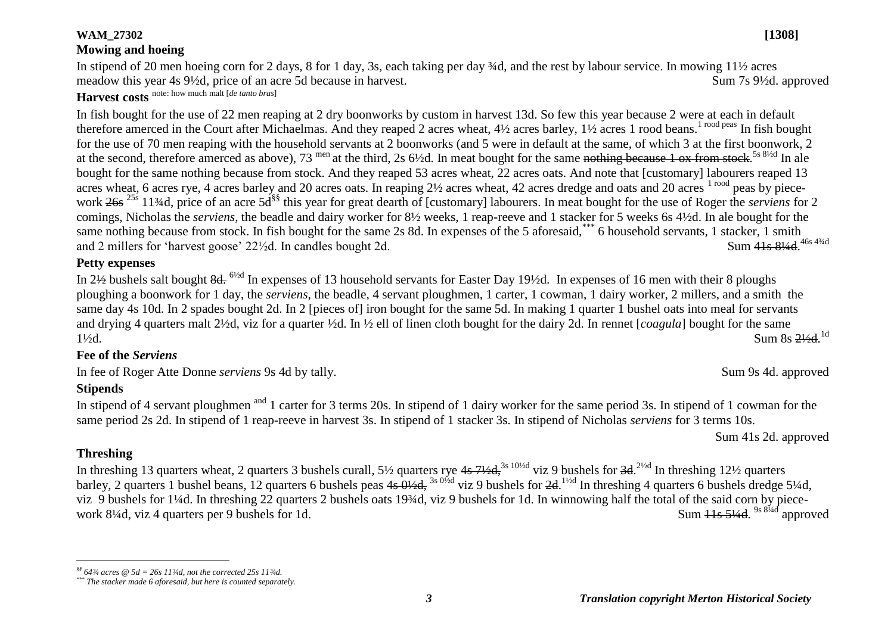#### **WAM\_27302 [1308]**

## **Mowing and hoeing**

In stipend of 20 men hoeing corn for 2 days, 8 for 1 day, 3s, each taking per day ¾d, and the rest by labour service. In mowing 11½ acres meadow this year 4s 9½d, price of an acre 5d because in harvest. Sum 7s 9½d. approved **Harvest costs** note: how much malt [*de tanto bras*]

In fish bought for the use of 22 men reaping at 2 dry boonworks by custom in harvest 13d. So few this year because 2 were at each in default therefore amerced in the Court after Michaelmas. And they reaped 2 acres wheat,  $4\frac{1}{2}$  acres barley.  $1\frac{1}{2}$  acres 1 rood beans.<sup>1 rood peas</sup> In fish bought for the use of 70 men reaping with the household servants at 2 boonworks (and 5 were in default at the same, of which 3 at the first boonwork, 2 at the second, therefore amerced as above), 73 <sup>men</sup> at the third, 2s 6½d. In meat bought for the same nothing because 1 ox from stock.<sup>5s 8½d</sup> In ale bought for the same nothing because from stock. And they reaped 53 acres wheat, 22 acres oats. And note that [customary] labourers reaped 13 acres wheat, 6 acres rye, 4 acres barley and 20 acres oats. In reaping  $2\frac{1}{2}$  acres wheat, 42 acres dredge and oats and 20 acres  $1 \text{ road}$  peas by piecework 26s 25s 11¾d, price of an acre 5d§§ this year for great dearth of [customary] labourers. In meat bought for the use of Roger the *serviens* for 2 comings, Nicholas the *serviens*, the beadle and dairy worker for 8½ weeks, 1 reap-reeve and 1 stacker for 5 weeks 6s 4½d. In ale bought for the same nothing because from stock. In fish bought for the same 2s 8d. In expenses of the 5 aforesaid,  $\ddot{\hspace{0.5cm}}^*$  6 household servants, 1 stacker, 1 smith and 2 millers for 'harvest goose'  $22\frac{1}{2}$ d. In candles bought 2d. Sum 41s 81/4d. 46s 43/4d

#### **Petty expenses**

In 2½ bushels salt bought 8d. 6½d In expenses of 13 household servants for Easter Day 19½d. In expenses of 16 men with their 8 ploughs ploughing a boonwork for 1 day, the *serviens*, the beadle, 4 servant ploughmen, 1 carter, 1 cowman, 1 dairy worker, 2 millers, and a smith the same day 4s 10d. In 2 spades bought 2d. In 2 [pieces of] iron bought for the same 5d. In making 1 quarter 1 bushel oats into meal for servants and drying 4 quarters malt 2½d, viz for a quarter ½d. In ½ ell of linen cloth bought for the dairy 2d. In rennet [*coagula*] bought for the same  $1\frac{1}{2}d$ . Sum 8s  $\frac{2\frac{1}{2}d}{d}$ . Sum 8s 21/<sub>2</sub>d.<sup>1d</sup>

#### **Fee of the** *Serviens*

In fee of Roger Atte Donne *serviens* 9s 4d by tally. Sum 9s 4d. approved

## **Stipends**

In stipend of 4 servant ploughmen <sup>and</sup> 1 carter for 3 terms 20s. In stipend of 1 dairy worker for the same period 3s. In stipend of 1 cowman for the same period 2s 2d. In stipend of 1 reap-reeve in harvest 3s. In stipend of 1 stacker 3s. In stipend of Nicholas *serviens* for 3 terms 10s.

Sum 41s 2d. approved

## **Threshing**

 $\overline{a}$ 

In threshing 13 quarters wheat, 2 quarters 3 bushels curall,  $5\frac{1}{2}$  quarters rye  $4s$   $7\frac{1}{2}$ ,  $3s$   $10\frac{1}{2}$  viz 9 bushels for  $3d$ ,  $2\frac{1}{2}$  In threshing  $12\frac{1}{2}$  quarters barley, 2 quarters 1 bushel beans, 12 quarters 6 bushels peas  $4s \frac{0}{64}$ , 3s  $0\frac{1}{2}$  viz 9 bushels for  $2d$ . <sup>11/2d</sup> In threshing 4 quarters 6 bushels dredge 5<sup>1</sup>/4d, viz 9 bushels for 1¼d. In threshing 22 quarters 2 bushels oats 19¾d, viz 9 bushels for 1d. In winnowing half the total of the said corn by piecework  $8\frac{1}{4}$ d, viz 4 quarters per 9 bushels for 1d. Sum  $\frac{11s}{3/4d}$ , <sup>9s 81/4d</sup> approved

*<sup>§§</sup> 64¾ acres @ 5d = 26s 11¾d, not the corrected 25s 11¾d.*

*<sup>\*\*\*</sup> The stacker made 6 aforesaid, but here is counted separately.*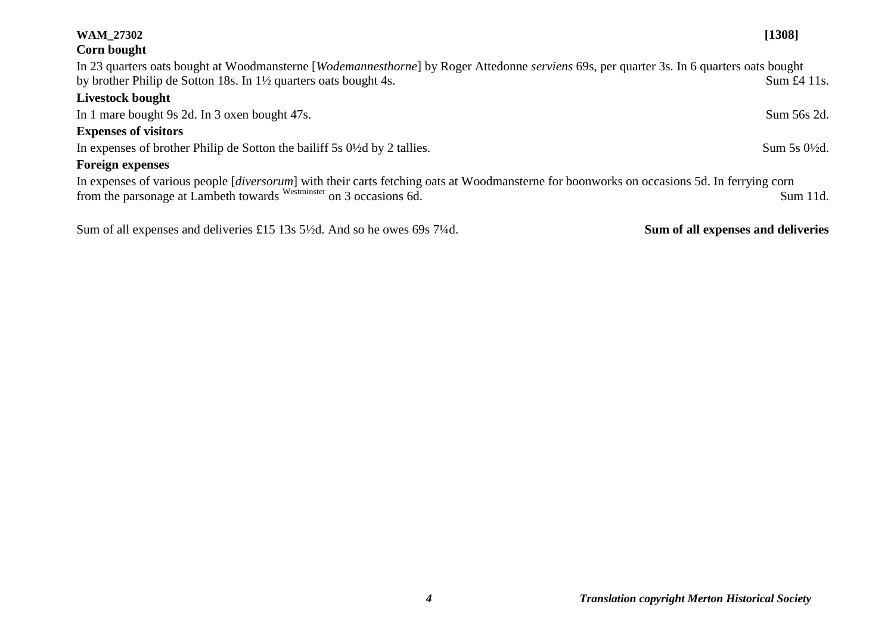| <b>WAM 27302</b>                                                                                                                                          | [1308]                             |
|-----------------------------------------------------------------------------------------------------------------------------------------------------------|------------------------------------|
| Corn bought                                                                                                                                               |                                    |
| In 23 quarters oats bought at Woodmansterne [ <i>Wodemannesthorne</i> ] by Roger Attedonne <i>serviens</i> 69s, per quarter 3s. In 6 quarters oats bought |                                    |
| by brother Philip de Sotton 18s. In 1½ quarters oats bought 4s.                                                                                           | Sum $\pounds4$ 11s.                |
| Livestock bought                                                                                                                                          |                                    |
| In 1 mare bought 9s 2d. In 3 oxen bought 47s.                                                                                                             | Sum 56s 2d.                        |
| <b>Expenses of visitors</b>                                                                                                                               |                                    |
| In expenses of brother Philip de Sotton the bailiff 5s 0½ d by 2 tallies.                                                                                 | Sum 5s 0½d.                        |
| <b>Foreign expenses</b>                                                                                                                                   |                                    |
| In expenses of various people [diversorum] with their carts fetching oats at Woodmansterne for boonworks on occasions 5d. In ferrying corn                |                                    |
| from the parsonage at Lambeth towards Westminster on 3 occasions 6d.                                                                                      | Sum 11d.                           |
|                                                                                                                                                           |                                    |
| Sum of all expenses and deliveries £15 13s 5 <sup>1</sup> / <sub>2</sub> d. And so he owes 69s 7 <sup>1</sup> / <sub>4</sub> d.                           | Sum of all expenses and deliveries |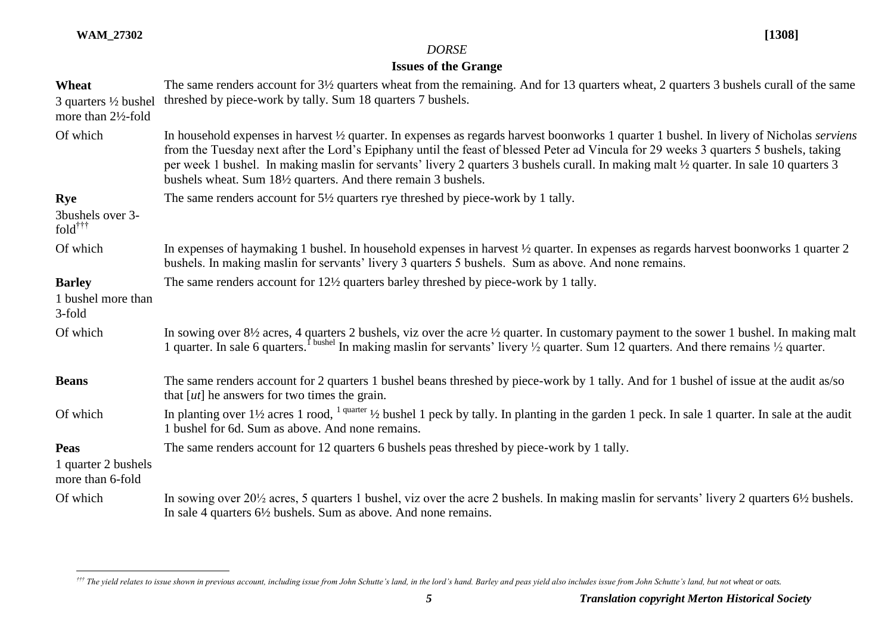$\overline{a}$ 

# *DORSE*

# **Issues of the Grange**

| Wheat<br>3 quarters $\frac{1}{2}$ bushel<br>more than 2½-fold | The same renders account for 3½ quarters wheat from the remaining. And for 13 quarters wheat, 2 quarters 3 bushels curall of the same<br>threshed by piece-work by tally. Sum 18 quarters 7 bushels.                                                                                                                                                                                                                                                                                            |
|---------------------------------------------------------------|-------------------------------------------------------------------------------------------------------------------------------------------------------------------------------------------------------------------------------------------------------------------------------------------------------------------------------------------------------------------------------------------------------------------------------------------------------------------------------------------------|
| Of which                                                      | In household expenses in harvest 1/2 quarter. In expenses as regards harvest boonworks 1 quarter 1 bushel. In livery of Nicholas serviens<br>from the Tuesday next after the Lord's Epiphany until the feast of blessed Peter ad Vincula for 29 weeks 3 quarters 5 bushels, taking<br>per week 1 bushel. In making maslin for servants' livery 2 quarters 3 bushels curall. In making malt 1/2 quarter. In sale 10 quarters 3<br>bushels wheat. Sum 181/2 quarters. And there remain 3 bushels. |
| Rye                                                           | The same renders account for $5\frac{1}{2}$ quarters rye threshed by piece-work by 1 tally.                                                                                                                                                                                                                                                                                                                                                                                                     |
| 3bushels over 3-<br>$fold^{\dagger \dagger \dagger}$          |                                                                                                                                                                                                                                                                                                                                                                                                                                                                                                 |
| Of which                                                      | In expenses of haymaking 1 bushel. In household expenses in harvest 1/2 quarter. In expenses as regards harvest boonworks 1 quarter 2<br>bushels. In making maslin for servants' livery 3 quarters 5 bushels. Sum as above. And none remains.                                                                                                                                                                                                                                                   |
| <b>Barley</b><br>1 bushel more than<br>3-fold                 | The same renders account for 12½ quarters barley threshed by piece-work by 1 tally.                                                                                                                                                                                                                                                                                                                                                                                                             |
| Of which                                                      | In sowing over 8½ acres, 4 quarters 2 bushels, viz over the acre 1/2 quarter. In customary payment to the sower 1 bushel. In making malt<br>1 quarter. In sale 6 quarters. <sup>I bushel</sup> In making maslin for servants' livery $\frac{1}{2}$ quarter. Sum 12 quarters. And there remains $\frac{1}{2}$ quarter.                                                                                                                                                                           |
| <b>Beans</b>                                                  | The same renders account for 2 quarters 1 bushel beans threshed by piece-work by 1 tally. And for 1 bushel of issue at the audit as/so<br>that $[ut]$ he answers for two times the grain.                                                                                                                                                                                                                                                                                                       |
| Of which                                                      | In planting over $1\frac{1}{2}$ acres 1 rood, $1$ quarter $\frac{1}{2}$ bushel 1 peck by tally. In planting in the garden 1 peck. In sale 1 quarter. In sale at the audit<br>1 bushel for 6d. Sum as above. And none remains.                                                                                                                                                                                                                                                                   |
| <b>Peas</b>                                                   | The same renders account for 12 quarters 6 bushels peas threshed by piece-work by 1 tally.                                                                                                                                                                                                                                                                                                                                                                                                      |
| 1 quarter 2 bushels<br>more than 6-fold                       |                                                                                                                                                                                                                                                                                                                                                                                                                                                                                                 |
| Of which                                                      | In sowing over 20 <sup>1</sup> / <sub>2</sub> acres, 5 quarters 1 bushel, viz over the acre 2 bushels. In making maslin for servants' livery 2 quarters 6 <sup>1</sup> / <sub>2</sub> bushels.<br>In sale 4 quarters $6\frac{1}{2}$ bushels. Sum as above. And none remains.                                                                                                                                                                                                                    |

*<sup>†††</sup> The yield relates to issue shown in previous account, including issue from John Schutte's land, in the lord's hand. Barley and peas yield also includes issue from John Schutte's land, but not wheat or oats.*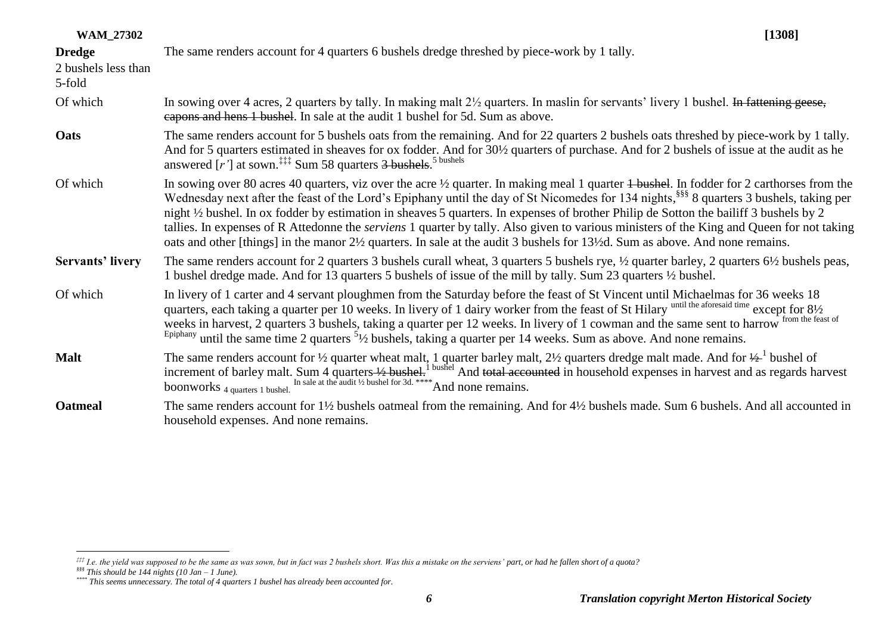| <b>WAM_27302</b>                     | [1308]                                                                                                                                                                                                                                                                                                                                                                                                                                                                                                                                                                                                                                                                                                                                  |
|--------------------------------------|-----------------------------------------------------------------------------------------------------------------------------------------------------------------------------------------------------------------------------------------------------------------------------------------------------------------------------------------------------------------------------------------------------------------------------------------------------------------------------------------------------------------------------------------------------------------------------------------------------------------------------------------------------------------------------------------------------------------------------------------|
| <b>Dredge</b><br>2 bushels less than | The same renders account for 4 quarters 6 bushels dredge threshed by piece-work by 1 tally.                                                                                                                                                                                                                                                                                                                                                                                                                                                                                                                                                                                                                                             |
| 5-fold                               |                                                                                                                                                                                                                                                                                                                                                                                                                                                                                                                                                                                                                                                                                                                                         |
| Of which                             | In sowing over 4 acres, 2 quarters by tally. In making malt $2\frac{1}{2}$ quarters. In maslin for servants' livery 1 bushel. In fattening geese,<br>eapons and hens 1 bushel. In sale at the audit 1 bushel for 5d. Sum as above.                                                                                                                                                                                                                                                                                                                                                                                                                                                                                                      |
| Oats                                 | The same renders account for 5 bushels oats from the remaining. And for 22 quarters 2 bushels oats threshed by piece-work by 1 tally.<br>And for 5 quarters estimated in sheaves for ox fodder. And for 30½ quarters of purchase. And for 2 bushels of issue at the audit as he<br>answered $[r']$ at sown. <sup>‡‡‡</sup> Sum 58 quarters $\frac{3 \text{ bushels}}{2}$ <sup>5 bushels</sup>                                                                                                                                                                                                                                                                                                                                           |
| Of which                             | In sowing over 80 acres 40 quarters, viz over the acre $\frac{1}{2}$ quarter. In making meal 1 quarter + bushel. In fodder for 2 carthorses from the<br>Wednesday next after the feast of the Lord's Epiphany until the day of St Nicomedes for 134 nights, <sup>§§§</sup> 8 quarters 3 bushels, taking per<br>night 1/2 bushel. In ox fodder by estimation in sheaves 5 quarters. In expenses of brother Philip de Sotton the bailiff 3 bushels by 2<br>tallies. In expenses of R Attedonne the <i>serviens</i> 1 quarter by tally. Also given to various ministers of the King and Queen for not taking<br>oats and other [things] in the manor 2½ quarters. In sale at the audit 3 bushels for 13½d. Sum as above. And none remains. |
| <b>Servants' livery</b>              | The same renders account for 2 quarters 3 bushels curall wheat, 3 quarters 5 bushels rye, 1/2 quarter barley, 2 quarters 61/2 bushels peas,<br>1 bushel dredge made. And for 13 quarters 5 bushels of issue of the mill by tally. Sum 23 quarters 1/2 bushel.                                                                                                                                                                                                                                                                                                                                                                                                                                                                           |
| Of which                             | In livery of 1 carter and 4 servant ploughmen from the Saturday before the feast of St Vincent until Michaelmas for 36 weeks 18<br>quarters, each taking a quarter per 10 weeks. In livery of 1 dairy worker from the feast of St Hilary until the aforesaid time except for 81/2<br>weeks in harvest, 2 quarters 3 bushels, taking a quarter per 12 weeks. In livery of 1 cowman and the same sent to harrow from the feast of<br>Epiphany until the same time 2 quarters $5\frac{1}{2}$ bushels, taking a quarter per 14 weeks. Sum as above. And none remains.                                                                                                                                                                       |
| <b>Malt</b>                          | The same renders account for $\frac{1}{2}$ quarter wheat malt, 1 quarter barley malt, $2\frac{1}{2}$ quarters dredge malt made. And for $\frac{1}{2}$ bushel of<br>increment of barley malt. Sum 4 quarters $\frac{1}{2}$ bushel. <sup>1</sup> bushel And total accounted in household expenses in harvest and as regards harvest<br>boonworks 4 quarters 1 bushel In sale at the audit 1/2 bushel for 3d. **** A                                                                                                                                                                                                                                                                                                                       |
| <b>Oatmeal</b>                       | The same renders account for $1\frac{1}{2}$ bushels oatmeal from the remaining. And for $4\frac{1}{2}$ bushels made. Sum 6 bushels. And all accounted in<br>household expenses. And none remains.                                                                                                                                                                                                                                                                                                                                                                                                                                                                                                                                       |

 $\overline{a}$ 

*<sup>‡‡‡</sup> I.e. the yield was supposed to be the same as was sown, but in fact was 2 bushels short. Was this a mistake on the serviens' part, or had he fallen short of a quota?*

*<sup>§§§</sup> This should be 144 nights (10 Jan – 1 June).*

*<sup>\*\*\*\*</sup> This seems unnecessary. The total of 4 quarters 1 bushel has already been accounted for.*